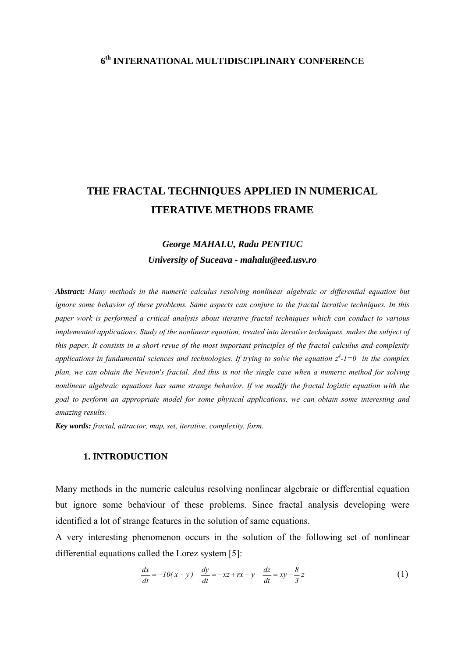### **6th INTERNATIONAL MULTIDISCIPLINARY CONFERENCE**

# **THE FRACTAL TECHNIQUES APPLIED IN NUMERICAL ITERATIVE METHODS FRAME**

## *George MAHALU, Radu PENTIUC University of Suceava - mahalu@eed.usv.ro*

*Abstract: Many methods in the numeric calculus resolving nonlinear algebraic or differential equation but ignore some behavior of these problems. Same aspects can conjure to the fractal iterative techniques. In this paper work is performed a critical analysis about iterative fractal techniques which can conduct to various implemented applications. Study of the nonlinear equation, treated into iterative techniques, makes the subject of this paper. It consists in a short revue of the most important principles of the fractal calculus and complexity*  applications in fundamental sciences and technologies. If trying to solve the equation  $z^4$ -1=0 in the complex *plan, we can obtain the Newton's fractal. And this is not the single case when a numeric method for solving nonlinear algebraic equations has same strange behavior. If we modify the fractal logistic equation with the goal to perform an appropriate model for some physical applications, we can obtain some interesting and amazing results.* 

*Key words: fractal, attractor, map, set, iterative, complexity, form*.

#### **1. INTRODUCTION**

Many methods in the numeric calculus resolving nonlinear algebraic or differential equation but ignore some behaviour of these problems. Since fractal analysis developing were identified a lot of strange features in the solution of same equations.

A very interesting phenomenon occurs in the solution of the following set of nonlinear differential equations called the Lorez system [5]:

$$
\frac{dx}{dt} = -10(x - y) \quad \frac{dy}{dt} = -xz + rx - y \quad \frac{dz}{dt} = xy - \frac{8}{3}z \tag{1}
$$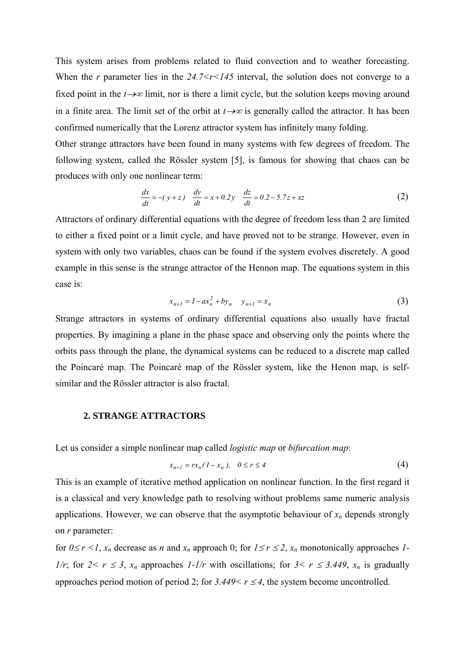This system arises from problems related to fluid convection and to weather forecasting. When the *r* parameter lies in the  $24.7 < r < 145$  interval, the solution does not converge to a fixed point in the  $t \rightarrow \infty$  limit, nor is there a limit cycle, but the solution keeps moving around in a finite area. The limit set of the orbit at  $t\rightarrow\infty$  is generally called the attractor. It has been confirmed numerically that the Lorenz attractor system has infinitely many folding.

Other strange attractors have been found in many systems with few degrees of freedom. The following system, called the Rössler system [5], is famous for showing that chaos can be produces with only one nonlinear term:

$$
\frac{dx}{dt} = -(y+z) \frac{dy}{dt} = x+0.2y \frac{dz}{dt} = 0.2 - 5.7z + xz \tag{2}
$$

Attractors of ordinary differential equations with the degree of freedom less than 2 are limited to either a fixed point or a limit cycle, and have proved not to be strange. However, even in system with only two variables, chaos can be found if the system evolves discretely. A good example in this sense is the strange attractor of the Hennon map. The equations system in this case is:

$$
x_{n+1} = 1 - ax_n^2 + by_n \t y_{n+1} = x_n \t (3)
$$

Strange attractors in systems of ordinary differential equations also usually have fractal properties. By imagining a plane in the phase space and observing only the points where the orbits pass through the plane, the dynamical systems can be reduced to a discrete map called the Poincaré map. The Poincaré map of the Rössler system, like the Henon map, is selfsimilar and the Rössler attractor is also fractal.

#### **2. STRANGE ATTRACTORS**

Let us consider a simple nonlinear map called *logistic map* or *bifurcation map*:

$$
x_{n+1} = rx_n(1 - x_n), \quad 0 \le r \le 4
$$

This is an example of iterative method application on nonlinear function. In the first regard it is a classical and very knowledge path to resolving without problems same numeric analysis applications. However, we can observe that the asymptotic behaviour of  $x_n$  depends strongly on *r* parameter:

for  $0 \le r \le l$ ,  $x_n$  decrease as *n* and  $x_n$  approach 0; for  $1 \le r \le 2$ ,  $x_n$  monotonically approaches *1*-*1/r*; for  $2 < r \leq 3$ ,  $x_n$  approaches *1-1/r* with oscillations; for  $3 < r \leq 3.449$ ,  $x_n$  is gradually approaches period motion of period 2; for  $3.449 \le r \le 4$ , the system become uncontrolled.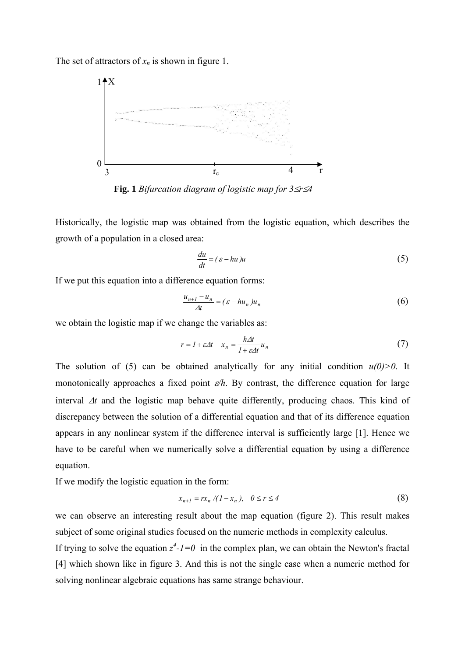The set of attractors of  $x_n$  is shown in figure 1.



**Fig. 1** *Bifurcation diagram of logistic map for 3*≤*r*≤*4*

Historically, the logistic map was obtained from the logistic equation, which describes the growth of a population in a closed area:

$$
\frac{du}{dt} = (\varepsilon - hu)u\tag{5}
$$

If we put this equation into a difference equation forms:

$$
\frac{u_{n+1} - u_n}{\Delta t} = (\varepsilon - h u_n) u_n \tag{6}
$$

we obtain the logistic map if we change the variables as:

$$
r = I + \varepsilon \Delta t \quad x_n = \frac{h \Delta t}{I + \varepsilon \Delta t} u_n \tag{7}
$$

The solution of (5) can be obtained analytically for any initial condition  $u(0) > 0$ . It monotonically approaches a fixed point ε*/h*. By contrast, the difference equation for large interval Δ*t* and the logistic map behave quite differently, producing chaos. This kind of discrepancy between the solution of a differential equation and that of its difference equation appears in any nonlinear system if the difference interval is sufficiently large [1]. Hence we have to be careful when we numerically solve a differential equation by using a difference equation.

If we modify the logistic equation in the form:

$$
x_{n+1} = rx_n / (1 - x_n), \quad 0 \le r \le 4
$$
 (8)

we can observe an interesting result about the map equation (figure 2). This result makes subject of some original studies focused on the numeric methods in complexity calculus.

If trying to solve the equation  $z^4$ - $l=0$  in the complex plan, we can obtain the Newton's fractal [4] which shown like in figure 3. And this is not the single case when a numeric method for solving nonlinear algebraic equations has same strange behaviour.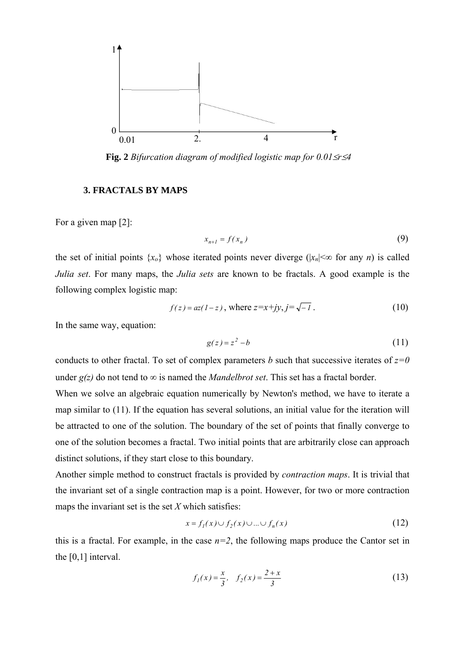

**Fig. 2** *Bifurcation diagram of modified logistic map for 0.01*≤*r*≤*4* 

#### **3. FRACTALS BY MAPS**

For a given map  $[2]$ :

$$
x_{n+1} = f(x_n) \tag{9}
$$

the set of initial points  $\{x_0\}$  whose iterated points never diverge ( $|x_n| \leq \infty$  for any *n*) is called *Julia set*. For many maps, the *Julia sets* are known to be fractals. A good example is the following complex logistic map:

$$
f(z) = az(1-z)
$$
, where  $z=x+jy$ ,  $j = \sqrt{-1}$ . (10)

In the same way, equation:

$$
g(z) = z^2 - b \tag{11}
$$

conducts to other fractal. To set of complex parameters *b* such that successive iterates of  $z=0$ under  $g(z)$  do not tend to  $\infty$  is named the *Mandelbrot set*. This set has a fractal border.

When we solve an algebraic equation numerically by Newton's method, we have to iterate a map similar to (11). If the equation has several solutions, an initial value for the iteration will be attracted to one of the solution. The boundary of the set of points that finally converge to one of the solution becomes a fractal. Two initial points that are arbitrarily close can approach distinct solutions, if they start close to this boundary.

Another simple method to construct fractals is provided by *contraction maps*. It is trivial that the invariant set of a single contraction map is a point. However, for two or more contraction maps the invariant set is the set *X* which satisfies:

$$
x = f_1(x) \cup f_2(x) \cup ... \cup f_n(x)
$$
 (12)

this is a fractal. For example, in the case  $n=2$ , the following maps produce the Cantor set in the [0,1] interval.

$$
f_1(x) = \frac{x}{3}, \quad f_2(x) = \frac{2+x}{3} \tag{13}
$$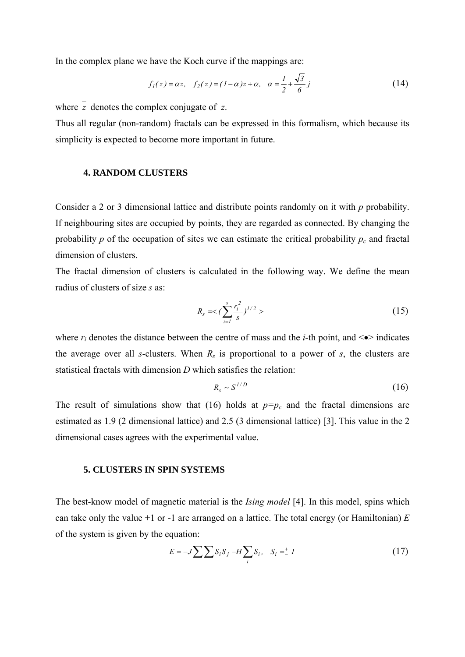In the complex plane we have the Koch curve if the mappings are:

$$
f_1(z) = \alpha \overline{z}, \quad f_2(z) = (1 - \alpha)\overline{z} + \alpha, \quad \alpha = \frac{1}{2} + \frac{\sqrt{3}}{6}j
$$
 (14)

where *z* denotes the complex conjugate of *z*.

Thus all regular (non-random) fractals can be expressed in this formalism, which because its simplicity is expected to become more important in future.

#### **4. RANDOM CLUSTERS**

Consider a 2 or 3 dimensional lattice and distribute points randomly on it with *p* probability. If neighbouring sites are occupied by points, they are regarded as connected. By changing the probability  $p$  of the occupation of sites we can estimate the critical probability  $p_c$  and fractal dimension of clusters.

radius of clusters of size s as: The fractal dimension of clusters is calculated in the following way. We define the mean

$$
R_s = \langle \sum_{i=1}^s \frac{r_i^2}{s} \rangle^{1/2} \rangle \tag{15}
$$

where  $r_i$  denotes the distance between the centre of mass and the *i*-th point, and  $\leq$  indicates the average over all *s*-clusters. When  $R_s$  is proportional to a power of *s*, the clusters are statistical fractals with dimension *D* which satisfies the relation:

$$
R_s \sim S^{1/D} \tag{16}
$$

The result of simulations show that (16) holds at  $p=p_c$  and the fractal dimensions are estimated as 1.9 (2 dimensional lattice) and 2.5 (3 dimensional lattice) [3]. This value in the 2 dimensional cases agrees with the experimental value.

#### **5. CLUSTERS IN SPIN SYSTEMS**

The best-know model of magnetic material is the *Ising model* [4]. In this model, spins which can take only the value  $+1$  or  $-1$  are arranged on a lattice. The total energy (or Hamiltonian)  $E$ of the system is given by the equation:

$$
E = -J \sum \sum S_i S_j - H \sum_i S_i, \quad S_i = -1 \tag{17}
$$